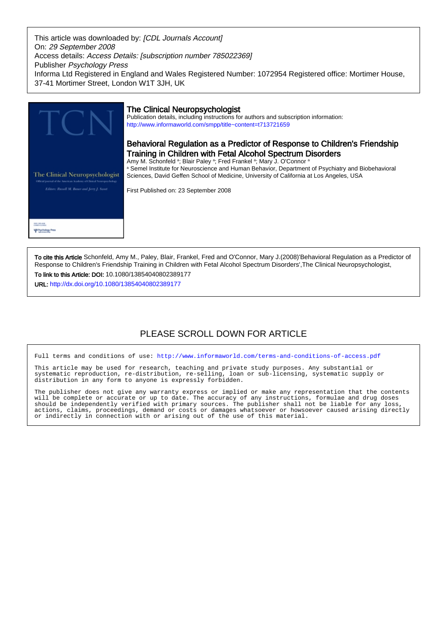This article was downloaded by: [CDL Journals Account] On: 29 September 2008 Access details: Access Details: [subscription number 785022369] Publisher Psychology Press Informa Ltd Registered in England and Wales Registered Number: 1072954 Registered office: Mortimer House, 37-41 Mortimer Street, London W1T 3JH, UK



To cite this Article Schonfeld, Amy M., Paley, Blair, Frankel, Fred and O'Connor, Mary J.(2008)'Behavioral Regulation as a Predictor of Response to Children's Friendship Training in Children with Fetal Alcohol Spectrum Disorders',The Clinical Neuropsychologist, To link to this Article: DOI: 10.1080/13854040802389177

URL: <http://dx.doi.org/10.1080/13854040802389177>

# PLEASE SCROLL DOWN FOR ARTICLE

Full terms and conditions of use:<http://www.informaworld.com/terms-and-conditions-of-access.pdf>

This article may be used for research, teaching and private study purposes. Any substantial or systematic reproduction, re-distribution, re-selling, loan or sub-licensing, systematic supply or distribution in any form to anyone is expressly forbidden.

The publisher does not give any warranty express or implied or make any representation that the contents will be complete or accurate or up to date. The accuracy of any instructions, formulae and drug doses should be independently verified with primary sources. The publisher shall not be liable for any loss, actions, claims, proceedings, demand or costs or damages whatsoever or howsoever caused arising directly or indirectly in connection with or arising out of the use of this material.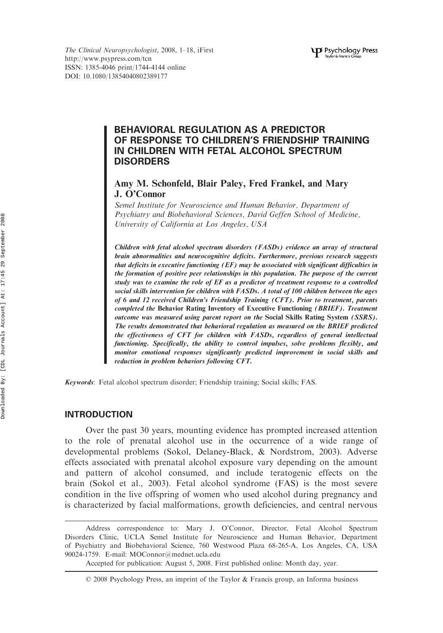The Clinical Neuropsychologist, 2008, 1–18, iFirst http://www.psypress.com/tcn ISSN: 1385-4046 print/1744-4144 online DOI: 10.1080/13854040802389177

# BEHAVIORAL REGULATION AS A PREDICTOR OF RESPONSE TO CHILDREN'S FRIENDSHIP TRAINING IN CHILDREN WITH FETAL ALCOHOL SPECTRUM DISORDERS

Amy M. Schonfeld, Blair Paley, Fred Frankel, and Mary J. O'Connor

Semel Institute for Neuroscience and Human Behavior, Department of Psychiatry and Biobehavioral Sciences, David Geffen School of Medicine, University of California at Los Angeles, USA

Children with fetal alcohol spectrum disorders (FASDs) evidence an array of structural brain abnormalities and neurocognitive deficits. Furthermore, previous research suggests that deficits in executive functioning (EF) may be associated with significant difficulties in the formation of positive peer relationships in this population. The purpose of the current study was to examine the role of EF as a predictor of treatment response to a controlled social skills intervention for children with FASDs. A total of 100 children between the ages of 6 and 12 received Children's Friendship Training (CFT). Prior to treatment, parents completed the Behavior Rating Inventory of Executive Functioning (BRIEF). Treatment outcome was measured using parent report on the Social Skills Rating System (SSRS). The results demonstrated that behavioral regulation as measured on the BRIEF predicted the effectiveness of CFT for children with FASDs, regardless of general intellectual functioning. Specifically, the ability to control impulses, solve problems flexibly, and monitor emotional responses significantly predicted improvement in social skills and reduction in problem behaviors following CFT.

Keywords: Fetal alcohol spectrum disorder; Friendship training; Social skills; FAS.

# INTRODUCTION

Over the past 30 years, mounting evidence has prompted increased attention to the role of prenatal alcohol use in the occurrence of a wide range of developmental problems (Sokol, Delaney-Black, & Nordstrom, 2003). Adverse effects associated with prenatal alcohol exposure vary depending on the amount and pattern of alcohol consumed, and include teratogenic effects on the brain (Sokol et al., 2003). Fetal alcohol syndrome (FAS) is the most severe condition in the live offspring of women who used alcohol during pregnancy and is characterized by facial malformations, growth deficiencies, and central nervous

Address correspondence to: Mary J. O'Connor, Director, Fetal Alcohol Spectrum Disorders Clinic, UCLA Semel Institute for Neuroscience and Human Behavior, Department of Psychiatry and Biobehavioral Science, 760 Westwood Plaza 68-265-A, Los Angeles, CA, USA 90024-1759. E-mail: MOConnor@mednet.ucla.edu

Accepted for publication: August 5, 2008. First published online: Month day, year.

2008 Psychology Press, an imprint of the Taylor & Francis group, an Informa business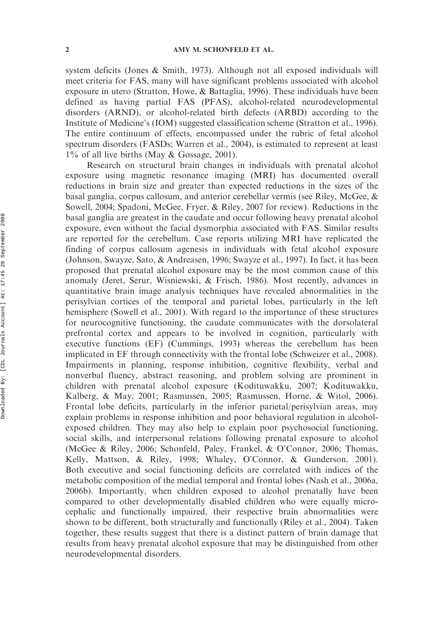system deficits (Jones & Smith, 1973). Although not all exposed individuals will meet criteria for FAS, many will have significant problems associated with alcohol exposure in utero (Stratton, Howe, & Battaglia, 1996). These individuals have been defined as having partial FAS (PFAS), alcohol-related neurodevelopmental disorders (ARND), or alcohol-related birth defects (ARBD) according to the Institute of Medicine's (IOM) suggested classification scheme (Stratton et al., 1996). The entire continuum of effects, encompassed under the rubric of fetal alcohol spectrum disorders (FASDs; Warren et al., 2004), is estimated to represent at least 1% of all live births (May & Gossage, 2001).

Research on structural brain changes in individuals with prenatal alcohol exposure using magnetic resonance imaging (MRI) has documented overall reductions in brain size and greater than expected reductions in the sizes of the basal ganglia, corpus callosum, and anterior cerebellar vermis (see Riley, McGee, & Sowell, 2004; Spadoni, McGee, Fryer, & Riley, 2007 for review). Reductions in the basal ganglia are greatest in the caudate and occur following heavy prenatal alcohol exposure, even without the facial dysmorphia associated with FAS. Similar results are reported for the cerebellum. Case reports utilizing MRI have replicated the finding of corpus callosum agenesis in individuals with fetal alcohol exposure (Johnson, Swayze, Sato, & Andreasen, 1996; Swayze et al., 1997). In fact, it has been proposed that prenatal alcohol exposure may be the most common cause of this anomaly (Jeret, Serur, Wisniewski, & Frisch, 1986). Most recently, advances in quantitative brain image analysis techniques have revealed abnormalities in the perisylvian cortices of the temporal and parietal lobes, particularly in the left hemisphere (Sowell et al., 2001). With regard to the importance of these structures for neurocognitive functioning, the caudate communicates with the dorsolateral prefrontal cortex and appears to be involved in cognition, particularly with executive functions (EF) (Cummings, 1993) whereas the cerebellum has been implicated in EF through connectivity with the frontal lobe (Schweizer et al., 2008). Impairments in planning, response inhibition, cognitive flexibility, verbal and nonverbal fluency, abstract reasoning, and problem solving are prominent in children with prenatal alcohol exposure (Kodituwakku, 2007; Kodituwakku, Kalberg, & May, 2001; Rasmussen, 2005; Rasmussen, Horne, & Witol, 2006). Frontal lobe deficits, particularly in the inferior parietal/perisylvian areas, may explain problems in response inhibition and poor behavioral regulation in alcoholexposed children. They may also help to explain poor psychosocial functioning, social skills, and interpersonal relations following prenatal exposure to alcohol (McGee & Riley, 2006; Schonfeld, Paley, Frankel, & O'Connor, 2006; Thomas, Kelly, Mattson, & Riley, 1998; Whaley, O'Connor, & Gunderson, 2001). Both executive and social functioning deficits are correlated with indices of the metabolic composition of the medial temporal and frontal lobes (Nash et al., 2006a, 2006b). Importantly, when children exposed to alcohol prenatally have been compared to other developmentally disabled children who were equally microcephalic and functionally impaired, their respective brain abnormalities were shown to be different, both structurally and functionally (Riley et al., 2004). Taken together, these results suggest that there is a distinct pattern of brain damage that results from heavy prenatal alcohol exposure that may be distinguished from other neurodevelopmental disorders.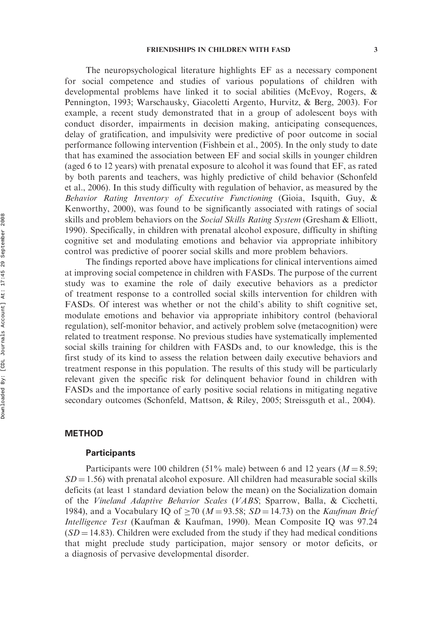The neuropsychological literature highlights EF as a necessary component for social competence and studies of various populations of children with developmental problems have linked it to social abilities (McEvoy, Rogers, & Pennington, 1993; Warschausky, Giacoletti Argento, Hurvitz, & Berg, 2003). For example, a recent study demonstrated that in a group of adolescent boys with conduct disorder, impairments in decision making, anticipating consequences, delay of gratification, and impulsivity were predictive of poor outcome in social performance following intervention (Fishbein et al., 2005). In the only study to date that has examined the association between EF and social skills in younger children (aged 6 to 12 years) with prenatal exposure to alcohol it was found that EF, as rated by both parents and teachers, was highly predictive of child behavior (Schonfeld et al., 2006). In this study difficulty with regulation of behavior, as measured by the Behavior Rating Inventory of Executive Functioning (Gioia, Isquith, Guy, & Kenworthy, 2000), was found to be significantly associated with ratings of social skills and problem behaviors on the Social Skills Rating System (Gresham & Elliott, 1990). Specifically, in children with prenatal alcohol exposure, difficulty in shifting cognitive set and modulating emotions and behavior via appropriate inhibitory control was predictive of poorer social skills and more problem behaviors.

The findings reported above have implications for clinical interventions aimed at improving social competence in children with FASDs. The purpose of the current study was to examine the role of daily executive behaviors as a predictor of treatment response to a controlled social skills intervention for children with FASDs. Of interest was whether or not the child's ability to shift cognitive set, modulate emotions and behavior via appropriate inhibitory control (behavioral regulation), self-monitor behavior, and actively problem solve (metacognition) were related to treatment response. No previous studies have systematically implemented social skills training for children with FASDs and, to our knowledge, this is the first study of its kind to assess the relation between daily executive behaviors and treatment response in this population. The results of this study will be particularly relevant given the specific risk for delinquent behavior found in children with FASDs and the importance of early positive social relations in mitigating negative secondary outcomes (Schonfeld, Mattson, & Riley, 2005; Streissguth et al., 2004).

# METHOD

### **Participants**

Participants were 100 children (51% male) between 6 and 12 years ( $M = 8.59$ ;  $SD = 1.56$ ) with prenatal alcohol exposure. All children had measurable social skills deficits (at least 1 standard deviation below the mean) on the Socialization domain of the Vineland Adaptive Behavior Scales (VABS; Sparrow, Balla, & Cicchetti, 1984), and a Vocabulary IQ of  $\geq$  70 (*M* = 93.58; *SD* = 14.73) on the *Kaufman Brief* Intelligence Test (Kaufman & Kaufman, 1990). Mean Composite IQ was 97.24  $(SD = 14.83)$ . Children were excluded from the study if they had medical conditions that might preclude study participation, major sensory or motor deficits, or a diagnosis of pervasive developmental disorder.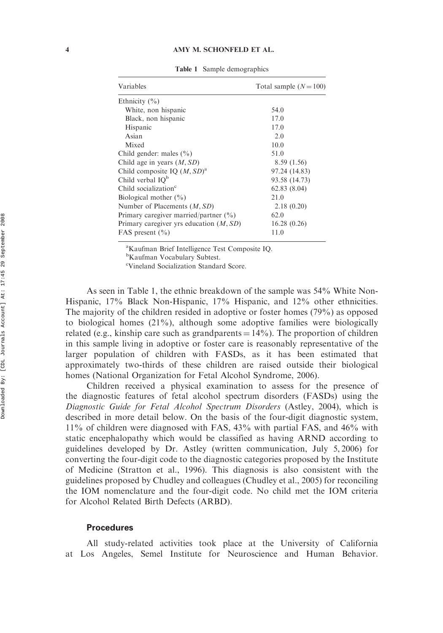#### 4 AMY M. SCHONFELD ET AL.

| Variables                                 | Total sample $(N = 100)$ |
|-------------------------------------------|--------------------------|
| Ethnicity $(\% )$                         |                          |
| White, non hispanic                       | 54.0                     |
| Black, non hispanic                       | 17.0                     |
| Hispanic                                  | 17.0                     |
| Asian                                     | 2.0                      |
| Mixed                                     | 10.0                     |
| Child gender: males $(\% )$               | 51.0                     |
| Child age in years $(M, SD)$              | 8.59 (1.56)              |
| Child composite IQ $(M, SD)^a$            | 97.24 (14.83)            |
| Child verbal IO <sup>b</sup>              | 93.58 (14.73)            |
| Child socialization <sup>c</sup>          | 62.83(8.04)              |
| Biological mother $(\% )$                 | 21.0                     |
| Number of Placements $(M, SD)$            | 2.18(0.20)               |
| Primary caregiver married/partner $(\% )$ | 62.0                     |
| Primary caregiver yrs education $(M, SD)$ | 16.28(0.26)              |
| FAS present $(\% )$                       | 11.0                     |

Table 1 Sample demographics

a Kaufman Brief Intelligence Test Composite IQ.

b Kaufman Vocabulary Subtest.

c Vineland Socialization Standard Score.

As seen in Table 1, the ethnic breakdown of the sample was 54% White Non-Hispanic, 17% Black Non-Hispanic, 17% Hispanic, and 12% other ethnicities. The majority of the children resided in adoptive or foster homes (79%) as opposed to biological homes (21%), although some adoptive families were biologically related (e.g., kinship care such as grandparents  $= 14\%$ ). The proportion of children in this sample living in adoptive or foster care is reasonably representative of the larger population of children with FASDs, as it has been estimated that approximately two-thirds of these children are raised outside their biological homes (National Organization for Fetal Alcohol Syndrome, 2006).

Children received a physical examination to assess for the presence of the diagnostic features of fetal alcohol spectrum disorders (FASDs) using the Diagnostic Guide for Fetal Alcohol Spectrum Disorders (Astley, 2004), which is described in more detail below. On the basis of the four-digit diagnostic system, 11% of children were diagnosed with FAS, 43% with partial FAS, and 46% with static encephalopathy which would be classified as having ARND according to guidelines developed by Dr. Astley (written communication, July 5, 2006) for converting the four-digit code to the diagnostic categories proposed by the Institute of Medicine (Stratton et al., 1996). This diagnosis is also consistent with the guidelines proposed by Chudley and colleagues (Chudley et al., 2005) for reconciling the IOM nomenclature and the four-digit code. No child met the IOM criteria for Alcohol Related Birth Defects (ARBD).

### Procedures

All study-related activities took place at the University of California at Los Angeles, Semel Institute for Neuroscience and Human Behavior.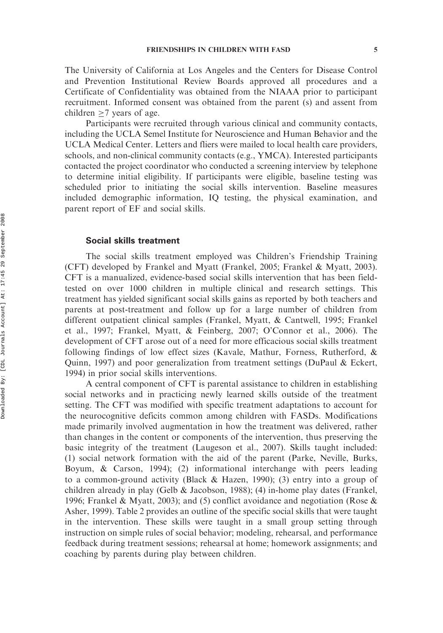The University of California at Los Angeles and the Centers for Disease Control and Prevention Institutional Review Boards approved all procedures and a Certificate of Confidentiality was obtained from the NIAAA prior to participant recruitment. Informed consent was obtained from the parent (s) and assent from children  $\geq$ 7 years of age.

Participants were recruited through various clinical and community contacts, including the UCLA Semel Institute for Neuroscience and Human Behavior and the UCLA Medical Center. Letters and fliers were mailed to local health care providers, schools, and non-clinical community contacts (e.g., YMCA). Interested participants contacted the project coordinator who conducted a screening interview by telephone to determine initial eligibility. If participants were eligible, baseline testing was scheduled prior to initiating the social skills intervention. Baseline measures included demographic information, IQ testing, the physical examination, and parent report of EF and social skills.

#### Social skills treatment

The social skills treatment employed was Children's Friendship Training (CFT) developed by Frankel and Myatt (Frankel, 2005; Frankel & Myatt, 2003). CFT is a manualized, evidence-based social skills intervention that has been fieldtested on over 1000 children in multiple clinical and research settings. This treatment has yielded significant social skills gains as reported by both teachers and parents at post-treatment and follow up for a large number of children from different outpatient clinical samples (Frankel, Myatt, & Cantwell, 1995; Frankel et al., 1997; Frankel, Myatt, & Feinberg, 2007; O'Connor et al., 2006). The development of CFT arose out of a need for more efficacious social skills treatment following findings of low effect sizes (Kavale, Mathur, Forness, Rutherford, & Quinn, 1997) and poor generalization from treatment settings (DuPaul & Eckert, 1994) in prior social skills interventions.

A central component of CFT is parental assistance to children in establishing social networks and in practicing newly learned skills outside of the treatment setting. The CFT was modified with specific treatment adaptations to account for the neurocognitive deficits common among children with FASDs. Modifications made primarily involved augmentation in how the treatment was delivered, rather than changes in the content or components of the intervention, thus preserving the basic integrity of the treatment (Laugeson et al., 2007). Skills taught included: (1) social network formation with the aid of the parent (Parke, Neville, Burks, Boyum, & Carson, 1994); (2) informational interchange with peers leading to a common-ground activity (Black & Hazen, 1990); (3) entry into a group of children already in play (Gelb & Jacobson, 1988); (4) in-home play dates (Frankel, 1996; Frankel & Myatt, 2003); and (5) conflict avoidance and negotiation (Rose & Asher, 1999). Table 2 provides an outline of the specific social skills that were taught in the intervention. These skills were taught in a small group setting through instruction on simple rules of social behavior; modeling, rehearsal, and performance feedback during treatment sessions; rehearsal at home; homework assignments; and coaching by parents during play between children.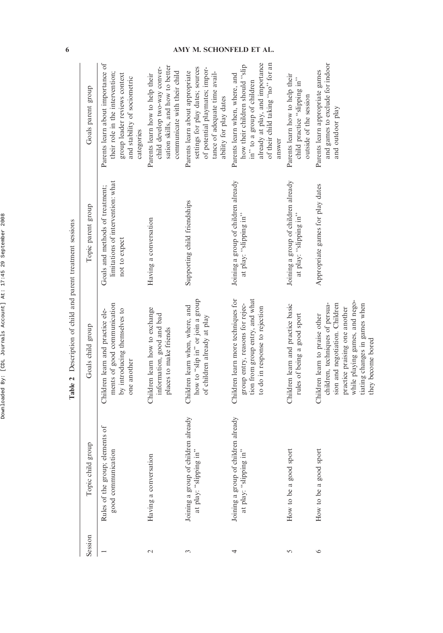| ı<br>١<br>¢<br>ś<br>¢<br>b<br>ć<br>ı |
|--------------------------------------|
| I<br>۱<br>l<br>Ï<br>١<br>J           |
| ċ<br>ć<br>ı                          |
| I<br>١<br>ı<br>I<br>ı                |
| 1<br>ı<br>ä                          |
| í<br>ï<br>j<br>l<br>l<br>ı<br>f<br>I |
| ì<br>ı<br>ı<br>ï<br>I                |
| I<br>í<br>Ą<br>۱                     |
| ï<br>l<br>ļ                          |
| l<br>١<br>Ï<br>i<br>ı<br>ļ<br>I<br>١ |

|               |                                                               | Table 2 Description of child and parent treatment sessions                                                                                                                                                                   |                                                                                       |                                                                                                                                                                                   |
|---------------|---------------------------------------------------------------|------------------------------------------------------------------------------------------------------------------------------------------------------------------------------------------------------------------------------|---------------------------------------------------------------------------------------|-----------------------------------------------------------------------------------------------------------------------------------------------------------------------------------|
| Session       | Topic child group                                             | Goals child group                                                                                                                                                                                                            | Topic parent group                                                                    | Goals parent group                                                                                                                                                                |
|               | Rules of the group; elements of<br>good communication         | ments of good communication<br>by introducing themselves to<br>Children learn and practice ele-<br>one another                                                                                                               | limitations of intervention: what<br>Goals and methods of treatment;<br>not to expect | Parents learn about importance of<br>their role in the intervention;<br>group leader reviews context<br>and stability of sociometric<br>categories                                |
| $\mathcal{L}$ | Having a conversation                                         | Children learn how to exchange<br>information, good and bad<br>places to make friends                                                                                                                                        | Having a conversation                                                                 | sation skills, and how to better<br>child develop two-way conver-<br>communicate with their child<br>Parents learn how to help their                                              |
| 3             | Joining a group of children already<br>at play: "slipping in" | how to "slip in" or join a group<br>Children learn when, where, and<br>of children already at play                                                                                                                           | Supporting child friendships                                                          | settings for play dates; sources<br>of potential playmates; impor-<br>Parents learn about appropriate<br>tance of adequate time avail-<br>ability for play dates                  |
| 4             | Joining a group of children already<br>at play: "slipping in" | Children learn more techniques for<br>tion from group entry, and what<br>group entry, reasons for rejec-<br>to do in response to rejection                                                                                   | Joining a group of children already<br>at play: "slipping in"                         | already at play, and importance<br>of their child taking "no" for an<br>how their children should "slip<br>Parents learn when, where, and<br>in" to a group of children<br>answer |
| 5             | How to be a good sport                                        | Children learn and practice basic<br>rules of being a good sport                                                                                                                                                             | Joining a group of children already<br>at play: "slipping in"                         | Parents learn how to help their<br>child practice "slipping in"<br>outside of the session                                                                                         |
| $\circ$       | How to be a good sport                                        | while playing games, and nego-<br>children, techniques of persua-<br>sion and negotiation. Children<br>tiating changes in games when<br>practice praising one another<br>Children learn to praise other<br>they become bored | Appropriate games for play dates                                                      | and games to exclude for indoor<br>Parents learn appropriate games<br>and outdoor play                                                                                            |

# 6 AMY M. SCHONFELD ET AL.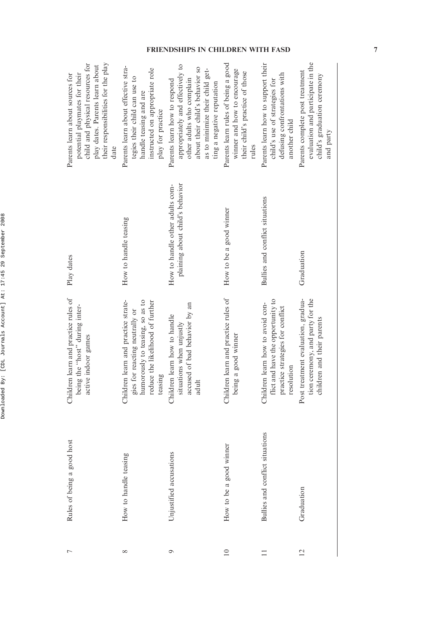Downloaded By: [CDL Journals Account] At: 17:45 29 September 2008 Downloaded By: [CDL Journals Account] At: 17:45 29 September 2008

| child and physical resources for<br>their responsibilities for the play<br>play dates. Parents learn about<br>potential playmates for their<br>Parents learn about sources for<br>date | Parents learn about effective stra-<br>instructed on appropriate role<br>tegies their child can use to<br>handle teasing and are<br>play for practice   | appropriately and effectively to<br>about their child's behavior so<br>as to minimize their child get-<br>other adults who complain<br>Parents learn how to respond<br>ting a negative reputation | Parents learn rules of being a good<br>winner and how to encourage<br>their child's practice of those<br>rules | Parents learn how to support their<br>defusing confrontations with<br>child's use of strategies for<br>another child    | evaluation and participate in the<br>Parents complete post treatment<br>child's graduation ceremony<br>and party |
|----------------------------------------------------------------------------------------------------------------------------------------------------------------------------------------|---------------------------------------------------------------------------------------------------------------------------------------------------------|---------------------------------------------------------------------------------------------------------------------------------------------------------------------------------------------------|----------------------------------------------------------------------------------------------------------------|-------------------------------------------------------------------------------------------------------------------------|------------------------------------------------------------------------------------------------------------------|
| Play dates                                                                                                                                                                             | How to handle teasing                                                                                                                                   | plaining about child's behavior<br>How to handle other adults com-                                                                                                                                | How to be a good winner                                                                                        | Bullies and conflict situations                                                                                         | Graduation                                                                                                       |
| Children learn and practice rules of<br>being the "host" during inter-<br>active indoor games                                                                                          | Children learn and practice strate-<br>humorously to teasing, so as to<br>reduce the likelihood of further<br>gies for reacting neutrally or<br>teasing | accused of bad behavior by an<br>Children learn how to handle<br>situations when unjustly<br>adult                                                                                                | Children learn and practice rules of<br>being a good winner                                                    | flict and have the opportunity to<br>Children learn how to avoid con-<br>practice strategies for conflict<br>resolution | Post treatment evaluation, gradua-<br>tion ceremony, and party for the<br>children and their parents             |
| Rules of being a good host                                                                                                                                                             | How to handle teasing                                                                                                                                   | Unjustified accusations                                                                                                                                                                           | How to be a good winner                                                                                        | Bullies and conflict situations                                                                                         | Graduation                                                                                                       |
| Γ                                                                                                                                                                                      | $\infty$                                                                                                                                                | $\circ$                                                                                                                                                                                           | $\equiv$                                                                                                       |                                                                                                                         | $\overline{c}$                                                                                                   |

# FRIENDSHIPS IN CHILDREN WITH FASD 7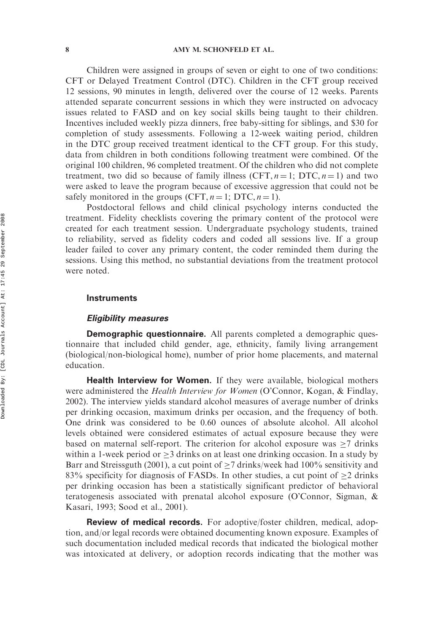### 8 AMY M. SCHONFELD ET AL.

Children were assigned in groups of seven or eight to one of two conditions: CFT or Delayed Treatment Control (DTC). Children in the CFT group received 12 sessions, 90 minutes in length, delivered over the course of 12 weeks. Parents attended separate concurrent sessions in which they were instructed on advocacy issues related to FASD and on key social skills being taught to their children. Incentives included weekly pizza dinners, free baby-sitting for siblings, and \$30 for completion of study assessments. Following a 12-week waiting period, children in the DTC group received treatment identical to the CFT group. For this study, data from children in both conditions following treatment were combined. Of the original 100 children, 96 completed treatment. Of the children who did not complete treatment, two did so because of family illness (CFT,  $n = 1$ ; DTC,  $n = 1$ ) and two were asked to leave the program because of excessive aggression that could not be safely monitored in the groups (CFT,  $n = 1$ ; DTC,  $n = 1$ ).

Postdoctoral fellows and child clinical psychology interns conducted the treatment. Fidelity checklists covering the primary content of the protocol were created for each treatment session. Undergraduate psychology students, trained to reliability, served as fidelity coders and coded all sessions live. If a group leader failed to cover any primary content, the coder reminded them during the sessions. Using this method, no substantial deviations from the treatment protocol were noted.

### **Instruments**

### Eligibility measures

**Demographic questionnaire.** All parents completed a demographic questionnaire that included child gender, age, ethnicity, family living arrangement (biological/non-biological home), number of prior home placements, and maternal education.

**Health Interview for Women.** If they were available, biological mothers were administered the Health Interview for Women (O'Connor, Kogan, & Findlay, 2002). The interview yields standard alcohol measures of average number of drinks per drinking occasion, maximum drinks per occasion, and the frequency of both. One drink was considered to be 0.60 ounces of absolute alcohol. All alcohol levels obtained were considered estimates of actual exposure because they were based on maternal self-report. The criterion for alcohol exposure was  $\geq 7$  drinks within a 1-week period or  $\geq$  3 drinks on at least one drinking occasion. In a study by Barr and Streissguth (2001), a cut point of  $\geq$  7 drinks/week had 100% sensitivity and 83% specificity for diagnosis of FASDs. In other studies, a cut point of  $\geq 2$  drinks per drinking occasion has been a statistically significant predictor of behavioral teratogenesis associated with prenatal alcohol exposure (O'Connor, Sigman, & Kasari, 1993; Sood et al., 2001).

**Review of medical records.** For adoptive/foster children, medical, adoption, and/or legal records were obtained documenting known exposure. Examples of such documentation included medical records that indicated the biological mother was intoxicated at delivery, or adoption records indicating that the mother was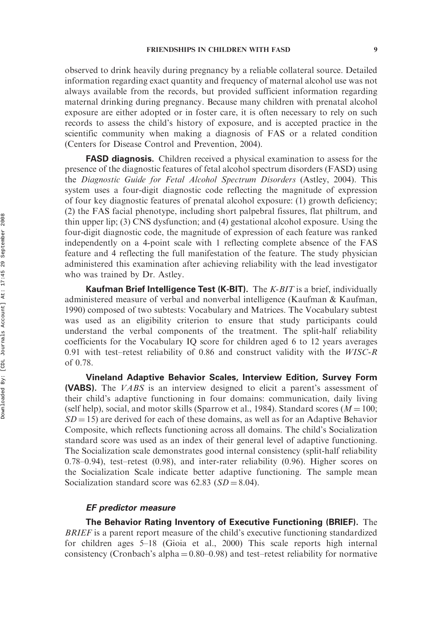observed to drink heavily during pregnancy by a reliable collateral source. Detailed information regarding exact quantity and frequency of maternal alcohol use was not always available from the records, but provided sufficient information regarding maternal drinking during pregnancy. Because many children with prenatal alcohol exposure are either adopted or in foster care, it is often necessary to rely on such records to assess the child's history of exposure, and is accepted practice in the scientific community when making a diagnosis of FAS or a related condition (Centers for Disease Control and Prevention, 2004).

**FASD diagnosis.** Children received a physical examination to assess for the presence of the diagnostic features of fetal alcohol spectrum disorders (FASD) using the Diagnostic Guide for Fetal Alcohol Spectrum Disorders (Astley, 2004). This system uses a four-digit diagnostic code reflecting the magnitude of expression of four key diagnostic features of prenatal alcohol exposure: (1) growth deficiency; (2) the FAS facial phenotype, including short palpebral fissures, flat philtrum, and thin upper lip; (3) CNS dysfunction; and (4) gestational alcohol exposure. Using the four-digit diagnostic code, the magnitude of expression of each feature was ranked independently on a 4-point scale with 1 reflecting complete absence of the FAS feature and 4 reflecting the full manifestation of the feature. The study physician administered this examination after achieving reliability with the lead investigator who was trained by Dr. Astley.

**Kaufman Brief Intelligence Test (K-BIT).** The *K-BIT* is a brief, individually administered measure of verbal and nonverbal intelligence (Kaufman & Kaufman, 1990) composed of two subtests: Vocabulary and Matrices. The Vocabulary subtest was used as an eligibility criterion to ensure that study participants could understand the verbal components of the treatment. The split-half reliability coefficients for the Vocabulary IQ score for children aged 6 to 12 years averages 0.91 with test–retest reliability of 0.86 and construct validity with the WISC-R of 0.78.

Vineland Adaptive Behavior Scales, Interview Edition, Survey Form **(VABS).** The *VABS* is an interview designed to elicit a parent's assessment of their child's adaptive functioning in four domains: communication, daily living (self help), social, and motor skills (Sparrow et al., 1984). Standard scores ( $M = 100$ ;  $SD = 15$ ) are derived for each of these domains, as well as for an Adaptive Behavior Composite, which reflects functioning across all domains. The child's Socialization standard score was used as an index of their general level of adaptive functioning. The Socialization scale demonstrates good internal consistency (split-half reliability 0.78–0.94), test–retest (0.98), and inter-rater reliability (0.96). Higher scores on the Socialization Scale indicate better adaptive functioning. The sample mean Socialization standard score was  $62.83$  ( $SD = 8.04$ ).

# EF predictor measure

The Behavior Rating Inventory of Executive Functioning (BRIEF). The BRIEF is a parent report measure of the child's executive functioning standardized for children ages 5–18 (Gioia et al., 2000) This scale reports high internal consistency (Cronbach's alpha  $= 0.80 - 0.98$ ) and test–retest reliability for normative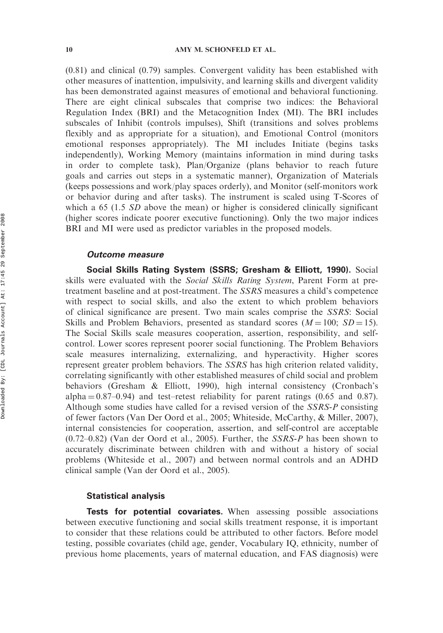(0.81) and clinical (0.79) samples. Convergent validity has been established with other measures of inattention, impulsivity, and learning skills and divergent validity has been demonstrated against measures of emotional and behavioral functioning. There are eight clinical subscales that comprise two indices: the Behavioral Regulation Index (BRI) and the Metacognition Index (MI). The BRI includes subscales of Inhibit (controls impulses), Shift (transitions and solves problems flexibly and as appropriate for a situation), and Emotional Control (monitors emotional responses appropriately). The MI includes Initiate (begins tasks independently), Working Memory (maintains information in mind during tasks in order to complete task), Plan/Organize (plans behavior to reach future goals and carries out steps in a systematic manner), Organization of Materials (keeps possessions and work/play spaces orderly), and Monitor (self-monitors work or behavior during and after tasks). The instrument is scaled using T-Scores of which a 65 (1.5 SD above the mean) or higher is considered clinically significant (higher scores indicate poorer executive functioning). Only the two major indices BRI and MI were used as predictor variables in the proposed models.

### Outcome measure

Social Skills Rating System (SSRS; Gresham & Elliott, 1990). Social skills were evaluated with the Social Skills Rating System, Parent Form at pretreatment baseline and at post-treatment. The SSRS measures a child's competence with respect to social skills, and also the extent to which problem behaviors of clinical significance are present. Two main scales comprise the SSRS: Social Skills and Problem Behaviors, presented as standard scores  $(M = 100; SD = 15)$ . The Social Skills scale measures cooperation, assertion, responsibility, and selfcontrol. Lower scores represent poorer social functioning. The Problem Behaviors scale measures internalizing, externalizing, and hyperactivity. Higher scores represent greater problem behaviors. The SSRS has high criterion related validity, correlating significantly with other established measures of child social and problem behaviors (Gresham & Elliott, 1990), high internal consistency (Cronbach's alpha  $= 0.87-0.94$ ) and test–retest reliability for parent ratings (0.65 and 0.87). Although some studies have called for a revised version of the SSRS-P consisting of fewer factors (Van Der Oord et al., 2005; Whiteside, McCarthy, & Miller, 2007), internal consistencies for cooperation, assertion, and self-control are acceptable (0.72–0.82) (Van der Oord et al., 2005). Further, the SSRS-P has been shown to accurately discriminate between children with and without a history of social problems (Whiteside et al., 2007) and between normal controls and an ADHD clinical sample (Van der Oord et al., 2005).

### Statistical analysis

**Tests for potential covariates.** When assessing possible associations between executive functioning and social skills treatment response, it is important to consider that these relations could be attributed to other factors. Before model testing, possible covariates (child age, gender, Vocabulary IQ, ethnicity, number of previous home placements, years of maternal education, and FAS diagnosis) were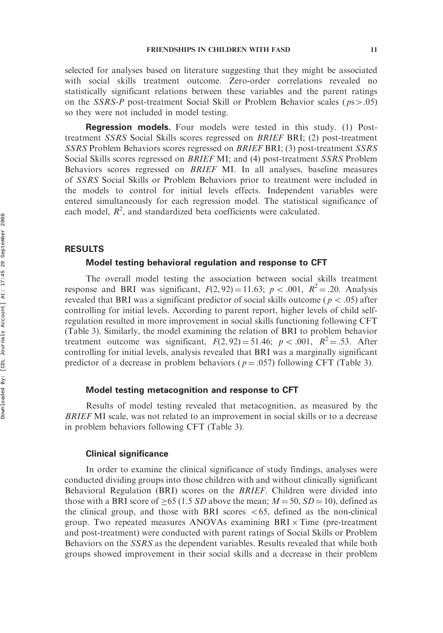selected for analyses based on literature suggesting that they might be associated with social skills treatment outcome. Zero-order correlations revealed no statistically significant relations between these variables and the parent ratings on the SSRS-P post-treatment Social Skill or Problem Behavior scales ( $p_s > .05$ ) so they were not included in model testing.

**Regression models.** Four models were tested in this study. (1) Posttreatment SSRS Social Skills scores regressed on BRIEF BRI; (2) post-treatment SSRS Problem Behaviors scores regressed on BRIEF BRI; (3) post-treatment SSRS Social Skills scores regressed on BRIEF MI; and (4) post-treatment SSRS Problem Behaviors scores regressed on BRIEF MI. In all analyses, baseline measures of SSRS Social Skills or Problem Behaviors prior to treatment were included in the models to control for initial levels effects. Independent variables were entered simultaneously for each regression model. The statistical significance of each model,  $R^2$ , and standardized beta coefficients were calculated.

## RESULTS

# Model testing behavioral regulation and response to CFT

The overall model testing the association between social skills treatment response and BRI was significant,  $F(2, 92) = 11.63$ ;  $p < .001$ ,  $R^2 = .20$ . Analysis revealed that BRI was a significant predictor of social skills outcome ( $p < .05$ ) after controlling for initial levels. According to parent report, higher levels of child selfregulation resulted in more improvement in social skills functioning following CFT (Table 3). Similarly, the model examining the relation of BRI to problem behavior treatment outcome was significant,  $F(2, 92) = 51.46$ ;  $p < .001$ ,  $R^2 = .53$ . After controlling for initial levels, analysis revealed that BRI was a marginally significant predictor of a decrease in problem behaviors ( $p = .057$ ) following CFT (Table 3).

### Model testing metacognition and response to CFT

Results of model testing revealed that metacognition, as measured by the BRIEF MI scale, was not related to an improvement in social skills or to a decrease in problem behaviors following CFT (Table 3).

### Clinical significance

In order to examine the clinical significance of study findings, analyses were conducted dividing groups into those children with and without clinically significant Behavioral Regulation (BRI) scores on the BRIEF. Children were divided into those with a BRI score of  $\geq 65$  (1.5 *SD* above the mean;  $M = 50$ , *SD* = 10), defined as the clinical group, and those with BRI scores  $\lt 65$ , defined as the non-clinical group. Two repeated measures ANOVAs examining  $BRI \times Time$  (pre-treatment and post-treatment) were conducted with parent ratings of Social Skills or Problem Behaviors on the SSRS as the dependent variables. Results revealed that while both groups showed improvement in their social skills and a decrease in their problem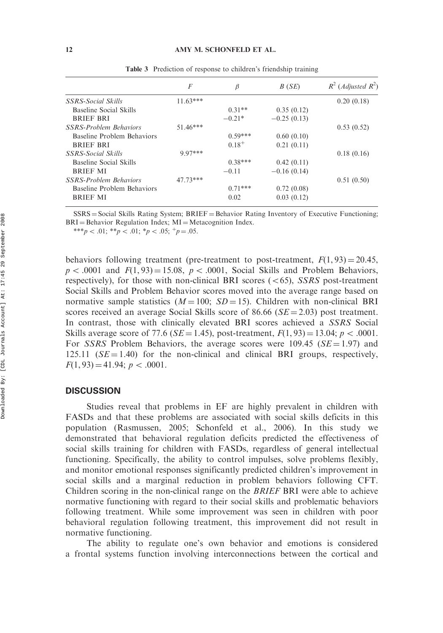|                               | $\boldsymbol{F}$ | $\beta$    | B(SE)         | $R^2$ (Adjusted $R^2$ ) |
|-------------------------------|------------------|------------|---------------|-------------------------|
| <b>SSRS-Social Skills</b>     | $11.63***$       |            |               | 0.20(0.18)              |
| Baseline Social Skills        |                  | $0.31**$   | 0.35(0.12)    |                         |
| <b>BRIEF BRI</b>              |                  | $-0.21*$   | $-0.25(0.13)$ |                         |
| <b>SSRS-Problem Behaviors</b> | $51.46***$       |            |               | 0.53(0.52)              |
| Baseline Problem Behaviors    |                  | $0.59***$  | 0.60(0.10)    |                         |
| <b>BRIEF BRI</b>              |                  | $0.18^{+}$ | 0.21(0.11)    |                         |
| <b>SSRS-Social Skills</b>     | 9.97***          |            |               | 0.18(0.16)              |
| Baseline Social Skills        |                  | $0.38***$  | 0.42(0.11)    |                         |
| <b>BRIEF MI</b>               |                  | $-0.11$    | $-0.16(0.14)$ |                         |
| <b>SSRS-Problem Behaviors</b> | $47.73***$       |            |               | 0.51(0.50)              |
| Baseline Problem Behaviors    |                  | $0.71***$  | 0.72(0.08)    |                         |
| <b>BRIEF MI</b>               |                  | 0.02       | 0.03(0.12)    |                         |

Table 3 Prediction of response to children's friendship training

SSRS = Social Skills Rating System; BRIEF = Behavior Rating Inventory of Executive Functioning;  $BRI =$  Behavior Regulation Index;  $MI =$  Metacognition Index.

\*\*\*p < .01; \*\*p < .01; \*p < .05;  $^+p = .05$ .

behaviors following treatment (pre-treatment to post-treatment,  $F(1, 93) = 20.45$ ,  $p < .0001$  and  $F(1, 93) = 15.08$ ,  $p < .0001$ , Social Skills and Problem Behaviors, respectively), for those with non-clinical BRI scores  $( $65$ ), SSRS post-treatment$ Social Skills and Problem Behavior scores moved into the average range based on normative sample statistics  $(M = 100; SD = 15)$ . Children with non-clinical BRI scores received an average Social Skills score of 86.66 ( $SE = 2.03$ ) post treatment. In contrast, those with clinically elevated BRI scores achieved a SSRS Social Skills average score of 77.6 ( $SE = 1.45$ ), post-treatment,  $F(1, 93) = 13.04$ ;  $p < .0001$ . For SSRS Problem Behaviors, the average scores were 109.45 ( $SE = 1.97$ ) and 125.11 ( $SE = 1.40$ ) for the non-clinical and clinical BRI groups, respectively,  $F(1, 93) = 41.94; p < .0001.$ 

### **DISCUSSION**

Studies reveal that problems in EF are highly prevalent in children with FASDs and that these problems are associated with social skills deficits in this population (Rasmussen, 2005; Schonfeld et al., 2006). In this study demonstrated that behavioral regulation deficits predicted the effectiveness of social skills training for children with FASDs, regardless of general intellectual functioning. Specifically, the ability to control impulses, solve problems flexibly, and monitor emotional responses significantly predicted children's improvement in social skills and a marginal reduction in problem behaviors following CFT. Children scoring in the non-clinical range on the BRIEF BRI were able to achieve normative functioning with regard to their social skills and problematic behaviors following treatment. While some improvement was seen in children with poor behavioral regulation following treatment, this improvement did not result in normative functioning.

The ability to regulate one's own behavior and emotions is considered a frontal systems function involving interconnections between the cortical and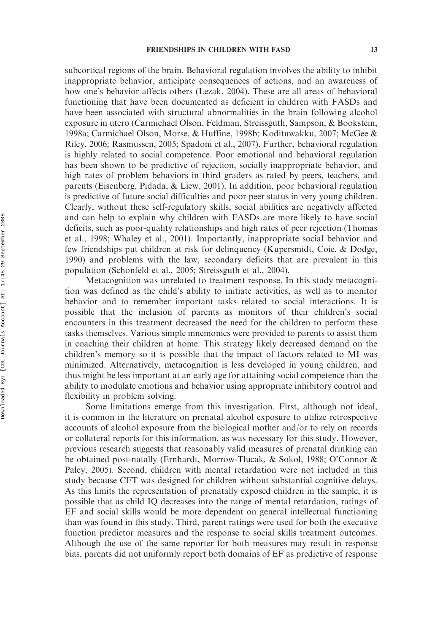subcortical regions of the brain. Behavioral regulation involves the ability to inhibit inappropriate behavior, anticipate consequences of actions, and an awareness of how one's behavior affects others (Lezak, 2004). These are all areas of behavioral functioning that have been documented as deficient in children with FASDs and have been associated with structural abnormalities in the brain following alcohol exposure in utero (Carmichael Olson, Feldman, Streissguth, Sampson, & Bookstein, 1998a; Carmichael Olson, Morse, & Huffine, 1998b; Kodituwakku, 2007; McGee & Riley, 2006; Rasmussen, 2005; Spadoni et al., 2007). Further, behavioral regulation is highly related to social competence. Poor emotional and behavioral regulation has been shown to be predictive of rejection, socially inappropriate behavior, and high rates of problem behaviors in third graders as rated by peers, teachers, and parents (Eisenberg, Pidada, & Liew, 2001). In addition, poor behavioral regulation is predictive of future social difficulties and poor peer status in very young children. Clearly, without these self-regulatory skills, social abilities are negatively affected and can help to explain why children with FASDs are more likely to have social deficits, such as poor-quality relationships and high rates of peer rejection (Thomas et al., 1998; Whaley et al., 2001). Importantly, inappropriate social behavior and few friendships put children at risk for delinquency (Kupersmidt, Coie, & Dodge, 1990) and problems with the law, secondary deficits that are prevalent in this population (Schonfeld et al., 2005; Streissguth et al., 2004).

Metacognition was unrelated to treatment response. In this study metacognition was defined as the child's ability to initiate activities, as well as to monitor behavior and to remember important tasks related to social interactions. It is possible that the inclusion of parents as monitors of their children's social encounters in this treatment decreased the need for the children to perform these tasks themselves. Various simple mnemonics were provided to parents to assist them in coaching their children at home. This strategy likely decreased demand on the children's memory so it is possible that the impact of factors related to MI was minimized. Alternatively, metacognition is less developed in young children, and thus might be less important at an early age for attaining social competence than the ability to modulate emotions and behavior using appropriate inhibitory control and flexibility in problem solving.

Some limitations emerge from this investigation. First, although not ideal, it is common in the literature on prenatal alcohol exposure to utilize retrospective accounts of alcohol exposure from the biological mother and/or to rely on records or collateral reports for this information, as was necessary for this study. However, previous research suggests that reasonably valid measures of prenatal drinking can be obtained post-natally (Ernhardt, Morrow-Tlucak, & Sokol, 1988; O'Connor & Paley, 2005). Second, children with mental retardation were not included in this study because CFT was designed for children without substantial cognitive delays. As this limits the representation of prenatally exposed children in the sample, it is possible that as child IQ decreases into the range of mental retardation, ratings of EF and social skills would be more dependent on general intellectual functioning than was found in this study. Third, parent ratings were used for both the executive function predictor measures and the response to social skills treatment outcomes. Although the use of the same reporter for both measures may result in response bias, parents did not uniformly report both domains of EF as predictive of response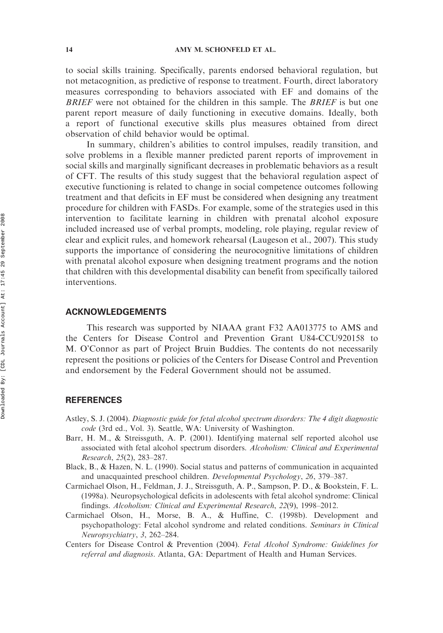to social skills training. Specifically, parents endorsed behavioral regulation, but not metacognition, as predictive of response to treatment. Fourth, direct laboratory measures corresponding to behaviors associated with EF and domains of the BRIEF were not obtained for the children in this sample. The BRIEF is but one parent report measure of daily functioning in executive domains. Ideally, both a report of functional executive skills plus measures obtained from direct observation of child behavior would be optimal.

In summary, children's abilities to control impulses, readily transition, and solve problems in a flexible manner predicted parent reports of improvement in social skills and marginally significant decreases in problematic behaviors as a result of CFT. The results of this study suggest that the behavioral regulation aspect of executive functioning is related to change in social competence outcomes following treatment and that deficits in EF must be considered when designing any treatment procedure for children with FASDs. For example, some of the strategies used in this intervention to facilitate learning in children with prenatal alcohol exposure included increased use of verbal prompts, modeling, role playing, regular review of clear and explicit rules, and homework rehearsal (Laugeson et al., 2007). This study supports the importance of considering the neurocognitive limitations of children with prenatal alcohol exposure when designing treatment programs and the notion that children with this developmental disability can benefit from specifically tailored interventions.

### ACKNOWLEDGEMENTS

This research was supported by NIAAA grant F32 AA013775 to AMS and the Centers for Disease Control and Prevention Grant U84-CCU920158 to M. O'Connor as part of Project Bruin Buddies. The contents do not necessarily represent the positions or policies of the Centers for Disease Control and Prevention and endorsement by the Federal Government should not be assumed.

# **REFERENCES**

- Astley, S. J. (2004). Diagnostic guide for fetal alcohol spectrum disorders: The 4 digit diagnostic code (3rd ed., Vol. 3). Seattle, WA: University of Washington.
- Barr, H. M., & Streissguth, A. P. (2001). Identifying maternal self reported alcohol use associated with fetal alcohol spectrum disorders. Alcoholism: Clinical and Experimental Research, 25(2), 283–287.
- Black, B., & Hazen, N. L. (1990). Social status and patterns of communication in acquainted and unacquainted preschool children. Developmental Psychology, 26, 379–387.
- Carmichael Olson, H., Feldman, J. J., Streissguth, A. P., Sampson, P. D., & Bookstein, F. L. (1998a). Neuropsychological deficits in adolescents with fetal alcohol syndrome: Clinical findings. Alcoholism: Clinical and Experimental Research, 22(9), 1998–2012.
- Carmichael Olson, H., Morse, B. A., & Huffine, C. (1998b). Development and psychopathology: Fetal alcohol syndrome and related conditions. Seminars in Clinical Neuropsychiatry, 3, 262–284.
- Centers for Disease Control & Prevention (2004). Fetal Alcohol Syndrome: Guidelines for referral and diagnosis. Atlanta, GA: Department of Health and Human Services.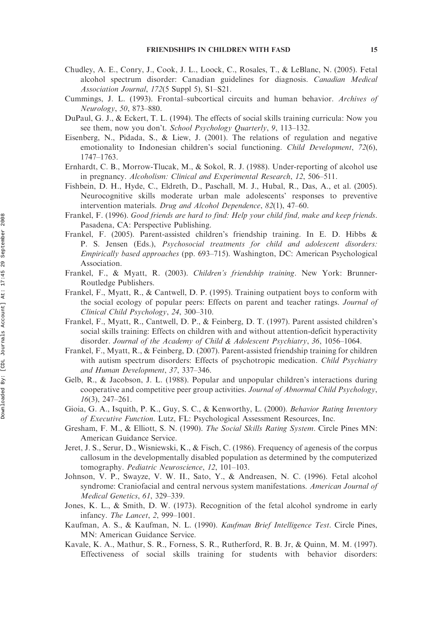- Chudley, A. E., Conry, J., Cook, J. L., Loock, C., Rosales, T., & LeBlanc, N. (2005). Fetal alcohol spectrum disorder: Canadian guidelines for diagnosis. Canadian Medical Association Journal, 172(5 Suppl 5), S1–S21.
- Cummings, J. L. (1993). Frontal–subcortical circuits and human behavior. Archives of Neurology, 50, 873–880.
- DuPaul, G. J., & Eckert, T. L. (1994). The effects of social skills training curricula: Now you see them, now you don't. School Psychology Quarterly, 9, 113-132.
- Eisenberg, N., Pidada, S., & Liew, J. (2001). The relations of regulation and negative emotionality to Indonesian children's social functioning. *Child Development*, 72(6), 1747–1763.
- Ernhardt, C. B., Morrow-Tlucak, M., & Sokol, R. J. (1988). Under-reporting of alcohol use in pregnancy. Alcoholism: Clinical and Experimental Research, 12, 506–511.
- Fishbein, D. H., Hyde, C., Eldreth, D., Paschall, M. J., Hubal, R., Das, A., et al. (2005). Neurocognitive skills moderate urban male adolescents' responses to preventive intervention materials. Drug and Alcohol Dependence, 82(1), 47–60.
- Frankel, F. (1996). Good friends are hard to find: Help your child find, make and keep friends. Pasadena, CA: Perspective Publishing.
- Frankel, F. (2005). Parent-assisted children's friendship training. In E. D. Hibbs & P. S. Jensen (Eds.), Psychosocial treatments for child and adolescent disorders: Empirically based approaches (pp. 693–715). Washington, DC: American Psychological Association.
- Frankel, F., & Myatt, R. (2003). Children's friendship training. New York: Brunner-Routledge Publishers.
- Frankel, F., Myatt, R., & Cantwell, D. P. (1995). Training outpatient boys to conform with the social ecology of popular peers: Effects on parent and teacher ratings. Journal of Clinical Child Psychology, 24, 300–310.
- Frankel, F., Myatt, R., Cantwell, D. P., & Feinberg, D. T. (1997). Parent assisted children's social skills training: Effects on children with and without attention-deficit hyperactivity disorder. Journal of the Academy of Child & Adolescent Psychiatry, 36, 1056–1064.
- Frankel, F., Myatt, R., & Feinberg, D. (2007). Parent-assisted friendship training for children with autism spectrum disorders: Effects of psychotropic medication. Child Psychiatry and Human Development, 37, 337–346.
- Gelb, R., & Jacobson, J. L. (1988). Popular and unpopular children's interactions during cooperative and competitive peer group activities. Journal of Abnormal Child Psychology, 16(3), 247–261.
- Gioia, G. A., Isquith, P. K., Guy, S. C., & Kenworthy, L. (2000). Behavior Rating Inventory of Executive Function. Lutz, FL: Psychological Assessment Resources, Inc.
- Gresham, F. M., & Elliott, S. N. (1990). The Social Skills Rating System. Circle Pines MN: American Guidance Service.
- Jeret, J. S., Serur, D., Wisniewski, K., & Fisch, C. (1986). Frequency of agenesis of the corpus callosum in the developmentally disabled population as determined by the computerized tomography. Pediatric Neuroscience, 12, 101–103.
- Johnson, V. P., Swayze, V. W. II., Sato, Y., & Andreasen, N. C. (1996). Fetal alcohol syndrome: Craniofacial and central nervous system manifestations. American Journal of Medical Genetics, 61, 329–339.
- Jones, K. L., & Smith, D. W. (1973). Recognition of the fetal alcohol syndrome in early infancy. The Lancet, 2, 999–1001.
- Kaufman, A. S., & Kaufman, N. L. (1990). Kaufman Brief Intelligence Test. Circle Pines, MN: American Guidance Service.
- Kavale, K. A., Mathur, S. R., Forness, S. R., Rutherford, R. B. Jr, & Quinn, M. M. (1997). Effectiveness of social skills training for students with behavior disorders: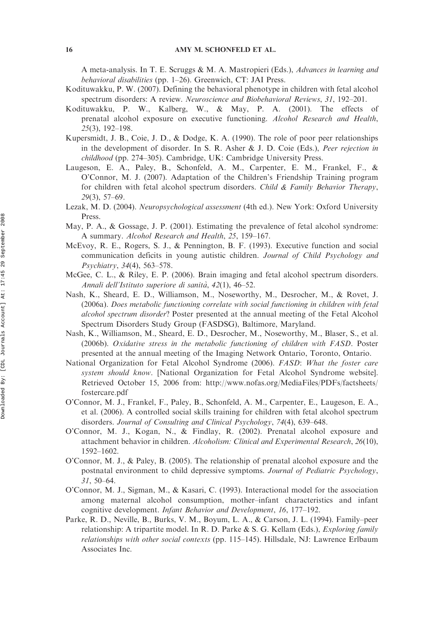A meta-analysis. In T. E. Scruggs & M. A. Mastropieri (Eds.), Advances in learning and behavioral disabilities (pp. 1–26). Greenwich, CT: JAI Press.

- Kodituwakku, P. W. (2007). Defining the behavioral phenotype in children with fetal alcohol spectrum disorders: A review. Neuroscience and Biobehavioral Reviews, 31, 192–201.
- Kodituwakku, P. W., Kalberg, W., & May, P. A. (2001). The effects of prenatal alcohol exposure on executive functioning. Alcohol Research and Health, 25(3), 192–198.
- Kupersmidt, J. B., Coie, J. D., & Dodge, K. A. (1990). The role of poor peer relationships in the development of disorder. In S. R. Asher & J. D. Coie (Eds.), Peer rejection in childhood (pp. 274–305). Cambridge, UK: Cambridge University Press.
- Laugeson, E. A., Paley, B., Schonfeld, A. M., Carpenter, E. M., Frankel, F., & O'Connor, M. J. (2007). Adaptation of the Children's Friendship Training program for children with fetal alcohol spectrum disorders. Child  $\&$  Family Behavior Therapy, 29(3), 57–69.
- Lezak, M. D. (2004). Neuropsychological assessment (4th ed.). New York: Oxford University Press.
- May, P. A., & Gossage, J. P. (2001). Estimating the prevalence of fetal alcohol syndrome: A summary. Alcohol Research and Health, 25, 159–167.
- McEvoy, R. E., Rogers, S. J., & Pennington, B. F. (1993). Executive function and social communication deficits in young autistic children. Journal of Child Psychology and Psychiatry, 34(4), 563–578.
- McGee, C. L., & Riley, E. P. (2006). Brain imaging and fetal alcohol spectrum disorders. Annali dell'Istituto superiore di sanità, 42(1), 46–52.
- Nash, K., Sheard, E. D., Williamson, M., Noseworthy, M., Desrocher, M., & Rovet, J. (2006a). Does metabolic functioning correlate with social functioning in children with fetal alcohol spectrum disorder? Poster presented at the annual meeting of the Fetal Alcohol Spectrum Disorders Study Group (FASDSG), Baltimore, Maryland.
- Nash, K., Williamson, M., Sheard, E. D., Desrocher, M., Noseworthy, M., Blaser, S., et al. (2006b). Oxidative stress in the metabolic functioning of children with FASD. Poster presented at the annual meeting of the Imaging Network Ontario, Toronto, Ontario.
- National Organization for Fetal Alcohol Syndrome (2006). FASD: What the foster care system should know. [National Organization for Fetal Alcohol Syndrome website]. Retrieved October 15, 2006 from: http://www.nofas.org/MediaFiles/PDFs/factsheets/ fostercare.pdf
- O'Connor, M. J., Frankel, F., Paley, B., Schonfeld, A. M., Carpenter, E., Laugeson, E. A., et al. (2006). A controlled social skills training for children with fetal alcohol spectrum disorders. Journal of Consulting and Clinical Psychology, 74(4), 639–648.
- O'Connor, M. J., Kogan, N., & Findlay, R. (2002). Prenatal alcohol exposure and attachment behavior in children. Alcoholism: Clinical and Experimental Research, 26(10), 1592–1602.
- O'Connor, M. J., & Paley, B. (2005). The relationship of prenatal alcohol exposure and the postnatal environment to child depressive symptoms. Journal of Pediatric Psychology, 31, 50–64.
- O'Connor, M. J., Sigman, M., & Kasari, C. (1993). Interactional model for the association among maternal alcohol consumption, mother–infant characteristics and infant cognitive development. Infant Behavior and Development, 16, 177–192.
- Parke, R. D., Neville, B., Burks, V. M., Boyum, L. A., & Carson, J. L. (1994). Family–peer relationship: A tripartite model. In R. D. Parke & S. G. Kellam (Eds.), *Exploring family* relationships with other social contexts (pp. 115–145). Hillsdale, NJ: Lawrence Erlbaum Associates Inc.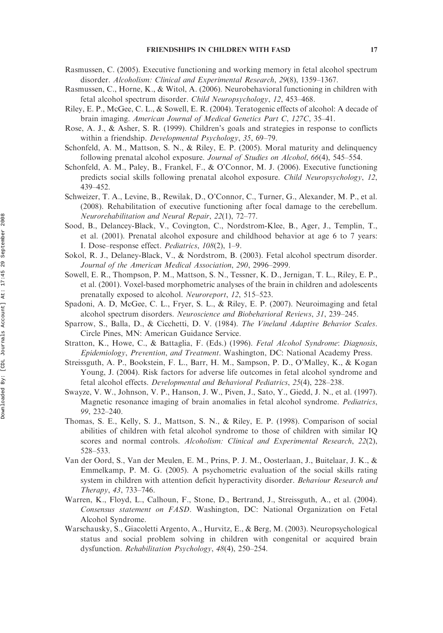- Rasmussen, C. (2005). Executive functioning and working memory in fetal alcohol spectrum disorder. Alcoholism: Clinical and Experimental Research, 29(8), 1359–1367.
- Rasmussen, C., Horne, K., & Witol, A. (2006). Neurobehavioral functioning in children with fetal alcohol spectrum disorder. Child Neuropsychology, 12, 453–468.
- Riley, E. P., McGee, C. L., & Sowell, E. R. (2004). Teratogenic effects of alcohol: A decade of brain imaging. American Journal of Medical Genetics Part C, 127C, 35–41.
- Rose, A. J., & Asher, S. R. (1999). Children's goals and strategies in response to conflicts within a friendship. *Developmental Psychology*, 35, 69–79.
- Schonfeld, A. M., Mattson, S. N., & Riley, E. P. (2005). Moral maturity and delinquency following prenatal alcohol exposure. Journal of Studies on Alcohol, 66(4), 545–554.
- Schonfeld, A. M., Paley, B., Frankel, F., & O'Connor, M. J. (2006). Executive functioning predicts social skills following prenatal alcohol exposure. Child Neuropsychology, 12, 439–452.
- Schweizer, T. A., Levine, B., Rewilak, D., O'Connor, C., Turner, G., Alexander, M. P., et al. (2008). Rehabilitation of executive functioning after focal damage to the cerebellum. Neurorehabilitation and Neural Repair, 22(1), 72–77.
- Sood, B., Delancey-Black, V., Covington, C., Nordstrom-Klee, B., Ager, J., Templin, T., et al. (2001). Prenatal alcohol exposure and childhood behavior at age 6 to 7 years: I. Dose–response effect. Pediatrics, 108(2), 1–9.
- Sokol, R. J., Delaney-Black, V., & Nordstrom, B. (2003). Fetal alcohol spectrum disorder. Journal of the American Medical Association, 290, 2996–2999.
- Sowell, E. R., Thompson, P. M., Mattson, S. N., Tessner, K. D., Jernigan, T. L., Riley, E. P., et al. (2001). Voxel-based morphometric analyses of the brain in children and adolescents prenatally exposed to alcohol. Neuroreport, 12, 515–523.
- Spadoni, A. D, McGee, C. L., Fryer, S. L., & Riley, E. P. (2007). Neuroimaging and fetal alcohol spectrum disorders. Neuroscience and Biobehavioral Reviews, 31, 239–245.
- Sparrow, S., Balla, D., & Cicchetti, D. V. (1984). The Vineland Adaptive Behavior Scales. Circle Pines, MN: American Guidance Service.
- Stratton, K., Howe, C., & Battaglia, F. (Eds.) (1996). Fetal Alcohol Syndrome: Diagnosis, Epidemiology, Prevention, and Treatment. Washington, DC: National Academy Press.
- Streissguth, A. P., Bookstein, F. L., Barr, H. M., Sampson, P. D., O'Malley, K., & Kogan Young, J. (2004). Risk factors for adverse life outcomes in fetal alcohol syndrome and fetal alcohol effects. Developmental and Behavioral Pediatrics, 25(4), 228–238.
- Swayze, V. W., Johnson, V. P., Hanson, J. W., Piven, J., Sato, Y., Giedd, J. N., et al. (1997). Magnetic resonance imaging of brain anomalies in fetal alcohol syndrome. Pediatrics, 99, 232–240.
- Thomas, S. E., Kelly, S. J., Mattson, S. N., & Riley, E. P. (1998). Comparison of social abilities of children with fetal alcohol syndrome to those of children with similar IQ scores and normal controls. Alcoholism: Clinical and Experimental Research, 22(2), 528–533.
- Van der Oord, S., Van der Meulen, E. M., Prins, P. J. M., Oosterlaan, J., Buitelaar, J. K., & Emmelkamp, P. M. G. (2005). A psychometric evaluation of the social skills rating system in children with attention deficit hyperactivity disorder. Behaviour Research and Therapy, 43, 733–746.
- Warren, K., Floyd, L., Calhoun, F., Stone, D., Bertrand, J., Streissguth, A., et al. (2004). Consensus statement on FASD. Washington, DC: National Organization on Fetal Alcohol Syndrome.
- Warschausky, S., Giacoletti Argento, A., Hurvitz, E., & Berg, M. (2003). Neuropsychological status and social problem solving in children with congenital or acquired brain dysfunction. Rehabilitation Psychology, 48(4), 250–254.